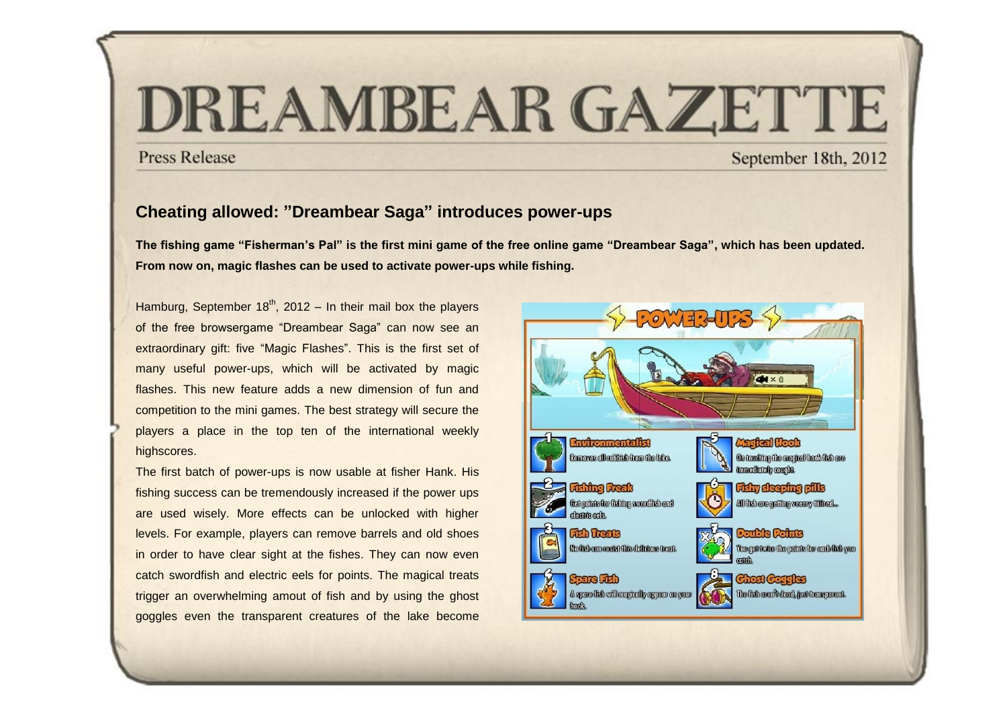## DREAMBEAR GAZETTE

## **Press Release**

September 18th, 2012

## **Cheating allowed: "Dreambear Saga" introduces power-ups**

**The fishing game "Fisherman's Pal" is the first mini game of the free online game "Dreambear Saga", which has been updated. From now on, magic flashes can be used to activate power-ups while fishing.**

Hamburg, September  $18<sup>th</sup>$ , 2012 – In their mail box the players of the free browsergame "Dreambear Saga" can now see an extraordinary gift: five "Magic Flashes". This is the first set of many useful power-ups, which will be activated by magic flashes. This new feature adds a new dimension of fun and competition to the mini games. The best strategy will secure the players a place in the top ten of the international weekly highscores.

The first batch of power-ups is now usable at fisher Hank. His fishing success can be tremendously increased if the power ups are used wisely. More effects can be unlocked with higher levels. For example, players can remove barrels and old shoes in order to have clear sight at the fishes. They can now even catch swordfish and electric eels for points. The magical treats trigger an overwhelming amout of fish and by using the ghost goggles even the transparent creatures of the lake become

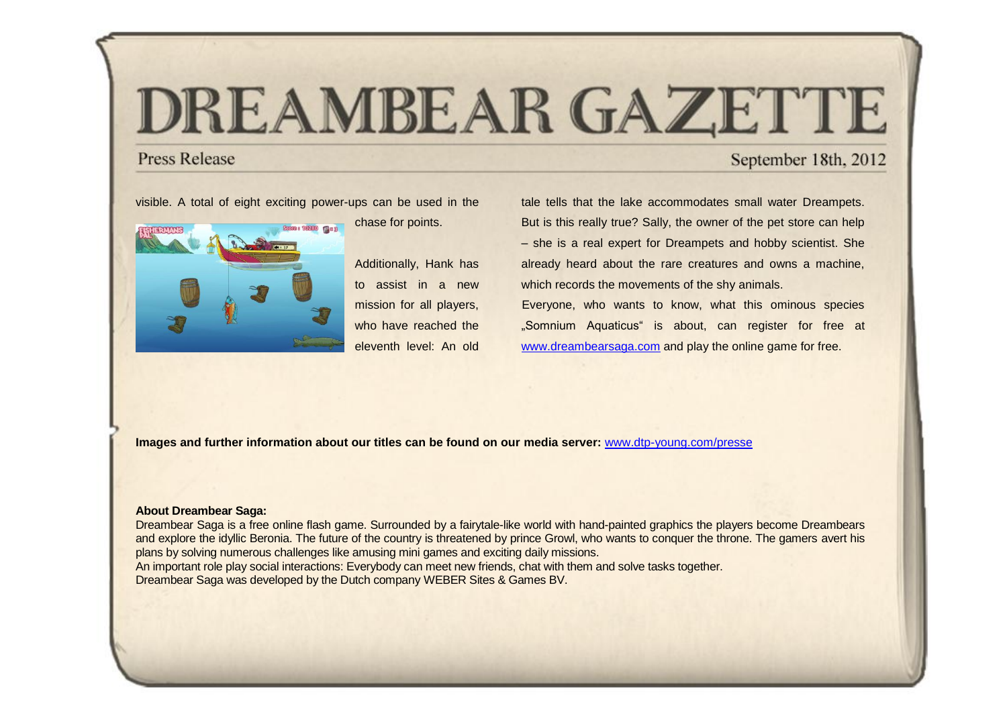# DREAMBEAR GAZETTE

### **Press Release**

## September 18th, 2012

visible. A total of eight exciting power-ups can be used in the



chase for points.

Additionally, Hank has to assist in a new mission for all players, who have reached the eleventh level: An old

tale tells that the lake accommodates small water Dreampets. But is this really true? Sally, the owner of the pet store can help – she is a real expert for Dreampets and hobby scientist. She already heard about the rare creatures and owns a machine, which records the movements of the shy animals. Everyone, who wants to know, what this ominous species "Somnium Aquaticus" is about, can register for free at [www.dreambearsaga.com](https://game.dreambearsaga.com/%22%20/l%20%22referrer=86ajlx97drfviot5&code=pm180912EN&language=en_GB) and play the online game for free.

**Images and further information about our titles can be found on our media server:** [www.dtp-young.com/presse](http://www.dtp-young.com/presse)

#### **About Dreambear Saga:**

Dreambear Saga is a free online flash game. Surrounded by a fairytale-like world with hand-painted graphics the players become Dreambears and explore the idyllic Beronia. The future of the country is threatened by prince Growl, who wants to conquer the throne. The gamers avert his plans by solving numerous challenges like amusing mini games and exciting daily missions.

An important role play social interactions: Everybody can meet new friends, chat with them and solve tasks together. Dreambear Saga was developed by the Dutch company WEBER Sites & Games BV.